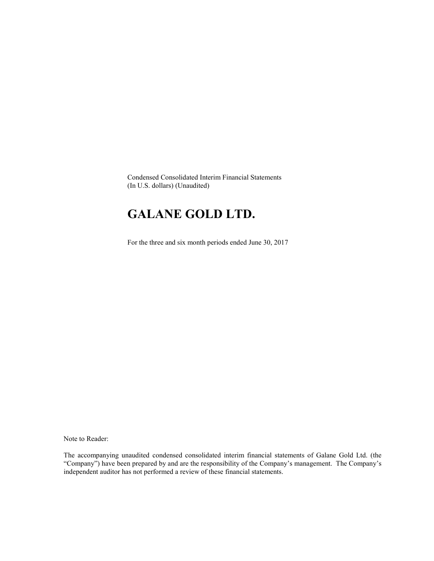Condensed Consolidated Interim Financial Statements (In U.S. dollars) (Unaudited)

# GALANE GOLD LTD.

For the three and six month periods ended June 30, 2017

Note to Reader:

The accompanying unaudited condensed consolidated interim financial statements of Galane Gold Ltd. (the "Company") have been prepared by and are the responsibility of the Company's management. The Company's independent auditor has not performed a review of these financial statements.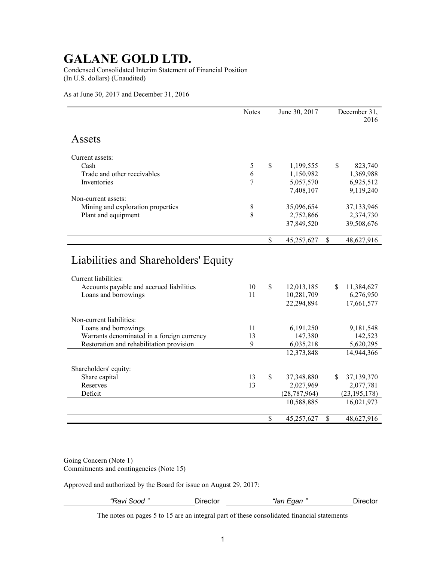Condensed Consolidated Interim Statement of Financial Position (In U.S. dollars) (Unaudited)

As at June 30, 2017 and December 31, 2016

|                                                                                          | <b>Notes</b> | June 30, 2017                  |    | December 31,<br>2016    |
|------------------------------------------------------------------------------------------|--------------|--------------------------------|----|-------------------------|
| Assets                                                                                   |              |                                |    |                         |
| Current assets:                                                                          |              |                                |    |                         |
| Cash                                                                                     | 5            | \$<br>1,199,555                | \$ | 823,740                 |
| Trade and other receivables                                                              | 6            | 1,150,982                      |    | 1,369,988               |
| Inventories                                                                              | 7            | 5,057,570                      |    | 6,925,512               |
|                                                                                          |              | 7,408,107                      |    | 9,119,240               |
| Non-current assets:                                                                      |              |                                |    |                         |
| Mining and exploration properties                                                        | 8            | 35,096,654                     |    | 37,133,946              |
| Plant and equipment                                                                      | 8            | 2,752,866                      |    | 2,374,730               |
|                                                                                          |              | 37,849,520                     |    | 39,508,676              |
|                                                                                          |              | \$<br>45,257,627               | \$ | 48,627,916              |
| Current liabilities:<br>Accounts payable and accrued liabilities<br>Loans and borrowings | 10<br>11     | \$<br>12,013,185<br>10,281,709 | S. | 11,384,627<br>6,276,950 |
|                                                                                          |              | 22,294,894                     |    | $\overline{17,661,577}$ |
| Non-current liabilities:                                                                 |              |                                |    |                         |
| Loans and borrowings                                                                     | 11           | 6,191,250                      |    | 9,181,548               |
| Warrants denominated in a foreign currency                                               | 13           | 147,380                        |    | 142,523                 |
| Restoration and rehabilitation provision                                                 | 9            | 6,035,218                      |    | 5,620,295               |
|                                                                                          |              | 12,373,848                     |    | 14,944,366              |
| Shareholders' equity:                                                                    |              |                                |    |                         |
| Share capital                                                                            | 13           | \$<br>37,348,880               | \$ | 37,139,370              |
| Reserves                                                                                 | 13           | 2,027,969                      |    | 2,077,781               |
| Deficit                                                                                  |              | (28, 787, 964)                 |    | (23, 195, 178)          |
|                                                                                          |              | 10,588,885                     |    | 16,021,973              |
|                                                                                          |              | \$<br>45,257,627               | \$ | 48,627,916              |

Going Concern (Note 1) Commitments and contingencies (Note 15)

Approved and authorized by the Board for issue on August 29, 2017:

| זרזר<br>---- | .<br>-  - - - . | .<br><i>iaii</i> | .<br> |
|--------------|-----------------|------------------|-------|
|              |                 |                  |       |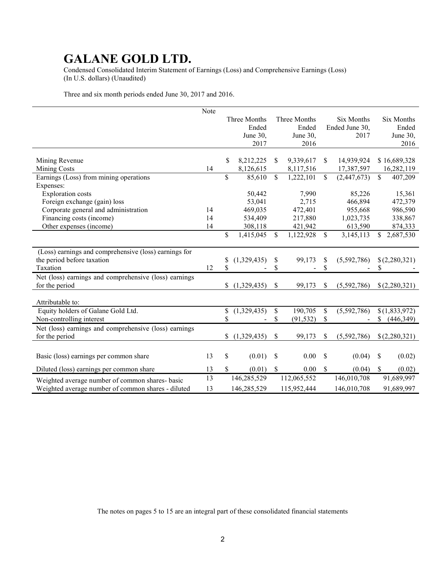Condensed Consolidated Interim Statement of Earnings (Loss) and Comprehensive Earnings (Loss) (In U.S. dollars) (Unaudited)

Three and six month periods ended June 30, 2017 and 2016.

|                                                       | Note |          |              |                 |               |                |              |               |
|-------------------------------------------------------|------|----------|--------------|-----------------|---------------|----------------|--------------|---------------|
|                                                       |      |          | Three Months | Three Months    |               | Six Months     |              | Six Months    |
|                                                       |      |          | Ended        | Ended           |               | Ended June 30, |              | Ended         |
|                                                       |      |          | June 30,     | June 30,        |               | 2017           |              | June 30,      |
|                                                       |      |          | 2017         | 2016            |               |                |              | 2016          |
|                                                       |      |          |              |                 | \$            |                |              |               |
| Mining Revenue                                        |      | \$       | 8,212,225    | \$<br>9,339,617 |               | 14,939,924     |              | \$16,689,328  |
| <b>Mining Costs</b>                                   | 14   |          | 8,126,615    | 8,117,516       |               | 17,387,597     |              | 16,282,119    |
| Earnings (Loss) from mining operations                |      | \$       | 85,610       | \$<br>1,222,101 | $\mathbb{S}$  | (2,447,673)    | $\mathbb{S}$ | 407,209       |
| Expenses:                                             |      |          |              |                 |               |                |              |               |
| <b>Exploration</b> costs                              |      |          | 50,442       | 7,990           |               | 85,226         |              | 15,361        |
| Foreign exchange (gain) loss                          |      |          | 53,041       | 2,715           |               | 466,894        |              | 472,379       |
| Corporate general and administration                  | 14   |          | 469,035      | 472,401         |               | 955,668        |              | 986,590       |
| Financing costs (income)                              | 14   |          | 534,409      | 217,880         |               | 1,023,735      |              | 338,867       |
| Other expenses (income)                               | 14   |          | 308,118      | 421,942         |               | 613,590        |              | 874,333       |
|                                                       |      | \$       | 1,415,045    | \$<br>1,122,928 | $\mathbb{S}$  | 3,145,113      | \$           | 2,687,530     |
|                                                       |      |          |              |                 |               |                |              |               |
| (Loss) earnings and comprehensive (loss) earnings for |      |          |              |                 |               |                |              |               |
| the period before taxation                            |      | \$<br>\$ | (1,329,435)  | \$<br>99,173    | \$            | (5,592,786)    |              | \$(2,280,321) |
| Taxation                                              | 12   |          |              | \$              | \$            |                | \$           |               |
| Net (loss) earnings and comprehensive (loss) earnings |      |          |              |                 |               |                |              |               |
| for the period                                        |      |          | (1,329,435)  | \$<br>99,173    | \$            | (5,592,786)    |              | \$(2,280,321) |
| Attributable to:                                      |      |          |              |                 |               |                |              |               |
| Equity holders of Galane Gold Ltd.                    |      | \$       | (1,329,435)  | \$<br>190,705   | $\mathcal{S}$ | (5,592,786)    |              | \$(1,833,972) |
| Non-controlling interest                              |      | \$       |              | \$<br>(91, 532) | \$            |                | \$           | (446, 349)    |
| Net (loss) earnings and comprehensive (loss) earnings |      |          |              |                 |               |                |              |               |
| for the period                                        |      | \$       | (1,329,435)  | \$<br>99,173    | \$            | (5,592,786)    |              | \$(2,280,321) |
|                                                       |      |          |              |                 |               |                |              |               |
| Basic (loss) earnings per common share                | 13   | \$       | (0.01)       | \$<br>0.00      | S             | (0.04)         | \$           | (0.02)        |
| Diluted (loss) earnings per common share              | 13   | \$       | (0.01)       | \$<br>0.00      | \$            | (0.04)         | \$           | (0.02)        |
| Weighted average number of common shares- basic       | 13   |          | 146,285,529  | 112,065,552     |               | 146,010,708    |              | 91,689,997    |
| Weighted average number of common shares - diluted    | 13   |          | 146,285,529  | 115,952,444     |               | 146,010,708    |              | 91,689,997    |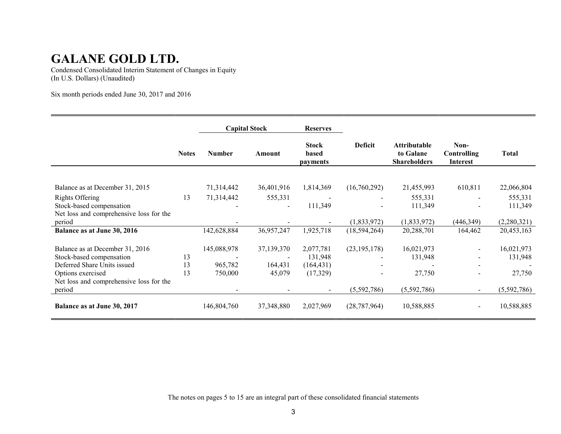Condensed Consolidated Interim Statement of Changes in Equity (In U.S. Dollars) (Unaudited)

Six month periods ended June 30, 2017 and 2016

|                                         |              |               | <b>Capital Stock</b> | <b>Reserves</b>                          |                |                                                         |                                        |              |
|-----------------------------------------|--------------|---------------|----------------------|------------------------------------------|----------------|---------------------------------------------------------|----------------------------------------|--------------|
|                                         | <b>Notes</b> | <b>Number</b> | Amount               | <b>Stock</b><br>based<br><i>payments</i> | <b>Deficit</b> | <b>Attributable</b><br>to Galane<br><b>Shareholders</b> | Non-<br>Controlling<br><b>Interest</b> | <b>Total</b> |
|                                         |              |               |                      |                                          |                |                                                         |                                        |              |
| Balance as at December 31, 2015         |              | 71,314,442    | 36,401,916           | 1,814,369                                | (16,760,292)   | 21,455,993                                              | 610,811                                | 22,066,804   |
| Rights Offering                         | 13           | 71,314,442    | 555,331              |                                          |                | 555,331                                                 |                                        | 555,331      |
| Stock-based compensation                |              |               | $\blacksquare$       | 111,349                                  |                | 111,349                                                 |                                        | 111,349      |
| Net loss and comprehensive loss for the |              |               |                      |                                          |                |                                                         |                                        |              |
| period                                  |              |               |                      |                                          | (1, 833, 972)  | (1,833,972)                                             | (446,349)                              | (2,280,321)  |
| Balance as at June 30, 2016             |              | 142,628,884   | 36,957,247           | 1,925,718                                | (18, 594, 264) | 20,288,701                                              | 164,462                                | 20,453,163   |
| Balance as at December 31, 2016         |              | 145,088,978   | 37,139,370           | 2,077,781                                | (23, 195, 178) | 16,021,973                                              | $\overline{\phantom{0}}$               | 16,021,973   |
| Stock-based compensation                | 13           |               |                      | 131,948                                  |                | 131,948                                                 |                                        | 131,948      |
| Deferred Share Units issued             | 13           | 965,782       | 164,431              | (164, 431)                               |                |                                                         |                                        |              |
| Options exercised                       | 13           | 750,000       | 45,079               | (17, 329)                                |                | 27,750                                                  | $\overline{\phantom{a}}$               | 27,750       |
| Net loss and comprehensive loss for the |              |               |                      |                                          |                |                                                         |                                        |              |
| period                                  |              |               |                      |                                          | (5,592,786)    | (5,592,786)                                             | $\blacksquare$                         | (5,592,786)  |
| Balance as at June 30, 2017             |              | 146,804,760   | 37, 348, 880         | 2,027,969                                | (28, 787, 964) | 10,588,885                                              | $\overline{\phantom{a}}$               | 10,588,885   |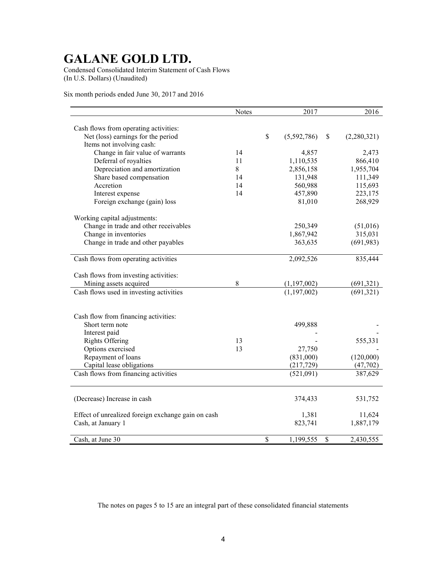Condensed Consolidated Interim Statement of Cash Flows (In U.S. Dollars) (Unaudited)

Six month periods ended June 30, 2017 and 2016

|                                                                 | <b>Notes</b> |              | 2017                       |    | 2016        |
|-----------------------------------------------------------------|--------------|--------------|----------------------------|----|-------------|
|                                                                 |              |              |                            |    |             |
| Cash flows from operating activities:                           |              | \$           |                            |    |             |
| Net (loss) earnings for the period                              |              |              | (5,592,786)                | S  | (2,280,321) |
| Items not involving cash:                                       |              |              |                            |    |             |
| Change in fair value of warrants                                | 14           |              | 4,857                      |    | 2,473       |
| Deferral of royalties                                           | 11           |              | 1,110,535                  |    | 866,410     |
| Depreciation and amortization                                   | 8            |              | 2,856,158                  |    | 1,955,704   |
| Share based compensation                                        | 14           |              | 131,948                    |    | 111,349     |
| Accretion                                                       | 14           |              | 560,988                    |    | 115,693     |
| Interest expense                                                | 14           |              | 457,890                    |    | 223,175     |
| Foreign exchange (gain) loss                                    |              |              | 81,010                     |    | 268,929     |
| Working capital adjustments:                                    |              |              |                            |    |             |
| Change in trade and other receivables                           |              |              | 250,349                    |    | (51,016)    |
| Change in inventories                                           |              |              | 1,867,942                  |    | 315,031     |
| Change in trade and other payables                              |              |              | 363,635                    |    | (691, 983)  |
|                                                                 |              |              |                            |    |             |
| Cash flows from operating activities                            |              |              | 2,092,526                  |    | 835,444     |
|                                                                 |              |              |                            |    |             |
| Cash flows from investing activities:<br>Mining assets acquired | 8            |              |                            |    |             |
|                                                                 |              |              | (1,197,002)<br>(1,197,002) |    | (691,321)   |
| Cash flows used in investing activities                         |              |              |                            |    | (691,321)   |
|                                                                 |              |              |                            |    |             |
| Cash flow from financing activities:                            |              |              |                            |    |             |
| Short term note                                                 |              |              | 499,888                    |    |             |
| Interest paid                                                   |              |              |                            |    |             |
| <b>Rights Offering</b>                                          | 13           |              |                            |    | 555,331     |
| Options exercised                                               | 13           |              | 27,750                     |    |             |
| Repayment of loans                                              |              |              | (831,000)                  |    | (120,000)   |
| Capital lease obligations                                       |              |              | (217, 729)                 |    | (47, 702)   |
| Cash flows from financing activities                            |              |              | (521,091)                  |    | 387,629     |
|                                                                 |              |              |                            |    |             |
| (Decrease) Increase in cash                                     |              |              | 374,433                    |    | 531,752     |
| Effect of unrealized foreign exchange gain on cash              |              |              | 1,381                      |    | 11,624      |
| Cash, at January 1                                              |              |              | 823,741                    |    | 1,887,179   |
| Cash, at June 30                                                |              | $\mathbb{S}$ | 1,199,555                  | \$ | 2,430,555   |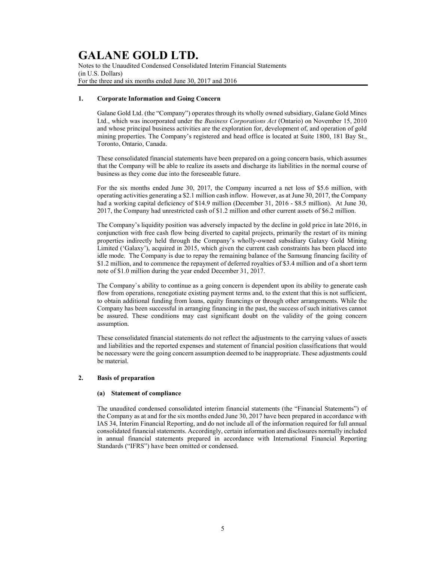Notes to the Unaudited Condensed Consolidated Interim Financial Statements (in U.S. Dollars) For the three and six months ended June 30, 2017 and 2016

### 1. Corporate Information and Going Concern

Galane Gold Ltd. (the "Company") operates through its wholly owned subsidiary, Galane Gold Mines Ltd., which was incorporated under the Business Corporations Act (Ontario) on November 15, 2010 and whose principal business activities are the exploration for, development of, and operation of gold mining properties. The Company's registered and head office is located at Suite 1800, 181 Bay St., Toronto, Ontario, Canada.

These consolidated financial statements have been prepared on a going concern basis, which assumes that the Company will be able to realize its assets and discharge its liabilities in the normal course of business as they come due into the foreseeable future.

For the six months ended June 30, 2017, the Company incurred a net loss of \$5.6 million, with operating activities generating a \$2.1 million cash inflow. However, as at June 30, 2017, the Company had a working capital deficiency of \$14.9 million (December 31, 2016 - \$8.5 million). At June 30, 2017, the Company had unrestricted cash of \$1.2 million and other current assets of \$6.2 million.

The Company's liquidity position was adversely impacted by the decline in gold price in late 2016, in conjunction with free cash flow being diverted to capital projects, primarily the restart of its mining properties indirectly held through the Company's wholly-owned subsidiary Galaxy Gold Mining Limited ('Galaxy'), acquired in 2015, which given the current cash constraints has been placed into idle mode. The Company is due to repay the remaining balance of the Samsung financing facility of \$1.2 million, and to commence the repayment of deferred royalties of \$3.4 million and of a short term note of \$1.0 million during the year ended December 31, 2017.

The Company`s ability to continue as a going concern is dependent upon its ability to generate cash flow from operations, renegotiate existing payment terms and, to the extent that this is not sufficient, to obtain additional funding from loans, equity financings or through other arrangements. While the Company has been successful in arranging financing in the past, the success of such initiatives cannot be assured. These conditions may cast significant doubt on the validity of the going concern assumption.

These consolidated financial statements do not reflect the adjustments to the carrying values of assets and liabilities and the reported expenses and statement of financial position classifications that would be necessary were the going concern assumption deemed to be inappropriate. These adjustments could be material.

### 2. Basis of preparation

#### (a) Statement of compliance

The unaudited condensed consolidated interim financial statements (the "Financial Statements") of the Company as at and for the six months ended June 30, 2017 have been prepared in accordance with IAS 34, Interim Financial Reporting, and do not include all of the information required for full annual consolidated financial statements. Accordingly, certain information and disclosures normally included in annual financial statements prepared in accordance with International Financial Reporting Standards ("IFRS") have been omitted or condensed.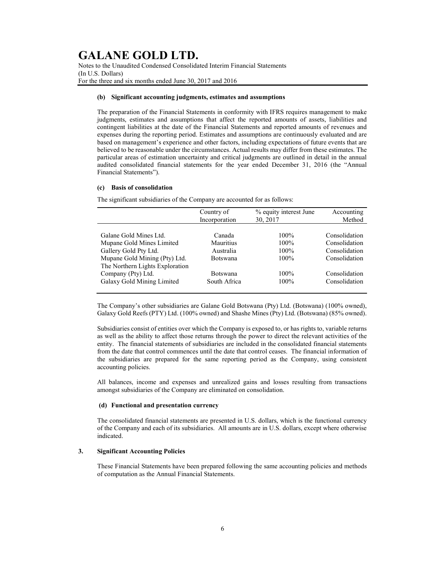Notes to the Unaudited Condensed Consolidated Interim Financial Statements (In U.S. Dollars) For the three and six months ended June 30, 2017 and 2016

### (b) Significant accounting judgments, estimates and assumptions

The preparation of the Financial Statements in conformity with IFRS requires management to make judgments, estimates and assumptions that affect the reported amounts of assets, liabilities and contingent liabilities at the date of the Financial Statements and reported amounts of revenues and expenses during the reporting period. Estimates and assumptions are continuously evaluated and are based on management's experience and other factors, including expectations of future events that are believed to be reasonable under the circumstances. Actual results may differ from these estimates. The particular areas of estimation uncertainty and critical judgments are outlined in detail in the annual audited consolidated financial statements for the year ended December 31, 2016 (the "Annual Financial Statements").

### (c) Basis of consolidation

The significant subsidiaries of the Company are accounted for as follows:

|                                 | % equity interest June<br>Country of |          | Accounting    |
|---------------------------------|--------------------------------------|----------|---------------|
|                                 | Incorporation                        | 30, 2017 | Method        |
|                                 |                                      |          |               |
| Galane Gold Mines Ltd.          | Canada                               | $100\%$  | Consolidation |
| Mupane Gold Mines Limited       | Mauritius                            | $100\%$  | Consolidation |
| Gallery Gold Pty Ltd.           | Australia                            | $100\%$  | Consolidation |
| Mupane Gold Mining (Pty) Ltd.   | <b>Botswana</b>                      | $100\%$  | Consolidation |
| The Northern Lights Exploration |                                      |          |               |
| Company (Pty) Ltd.              | <b>Botswana</b>                      | $100\%$  | Consolidation |
| Galaxy Gold Mining Limited      | South Africa                         | $100\%$  | Consolidation |
|                                 |                                      |          |               |

The Company's other subsidiaries are Galane Gold Botswana (Pty) Ltd. (Botswana) (100% owned), Galaxy Gold Reefs (PTY) Ltd. (100% owned) and Shashe Mines (Pty) Ltd. (Botswana) (85% owned).

Subsidiaries consist of entities over which the Company is exposed to, or has rights to, variable returns as well as the ability to affect those returns through the power to direct the relevant activities of the entity. The financial statements of subsidiaries are included in the consolidated financial statements from the date that control commences until the date that control ceases. The financial information of the subsidiaries are prepared for the same reporting period as the Company, using consistent accounting policies.

All balances, income and expenses and unrealized gains and losses resulting from transactions amongst subsidiaries of the Company are eliminated on consolidation.

### (d) Functional and presentation currency

The consolidated financial statements are presented in U.S. dollars, which is the functional currency of the Company and each of its subsidiaries. All amounts are in U.S. dollars, except where otherwise indicated.

### 3. Significant Accounting Policies

These Financial Statements have been prepared following the same accounting policies and methods of computation as the Annual Financial Statements.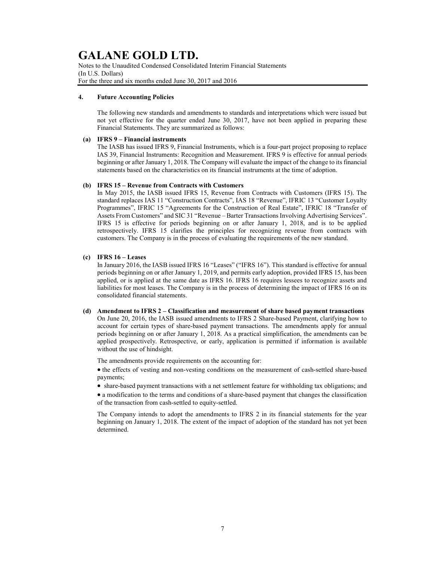Notes to the Unaudited Condensed Consolidated Interim Financial Statements (In U.S. Dollars) For the three and six months ended June 30, 2017 and 2016

### 4. Future Accounting Policies

The following new standards and amendments to standards and interpretations which were issued but not yet effective for the quarter ended June 30, 2017, have not been applied in preparing these Financial Statements. They are summarized as follows:

### (a) IFRS 9 – Financial instruments

The IASB has issued IFRS 9, Financial Instruments, which is a four-part project proposing to replace IAS 39, Financial Instruments: Recognition and Measurement. IFRS 9 is effective for annual periods beginning or after January 1, 2018. The Company will evaluate the impact of the change to its financial statements based on the characteristics on its financial instruments at the time of adoption.

### (b) IFRS 15 – Revenue from Contracts with Customers

In May 2015, the IASB issued IFRS 15, Revenue from Contracts with Customers (IFRS 15). The standard replaces IAS 11 "Construction Contracts", IAS 18 "Revenue", IFRIC 13 "Customer Loyalty Programmes", IFRIC 15 "Agreements for the Construction of Real Estate", IFRIC 18 "Transfer of Assets From Customers" and SIC 31 "Revenue – Barter Transactions Involving Advertising Services". IFRS 15 is effective for periods beginning on or after January 1, 2018, and is to be applied retrospectively. IFRS 15 clarifies the principles for recognizing revenue from contracts with customers. The Company is in the process of evaluating the requirements of the new standard.

### (c) IFRS 16 – Leases

In January 2016, the IASB issued IFRS 16 "Leases" ("IFRS 16"). This standard is effective for annual periods beginning on or after January 1, 2019, and permits early adoption, provided IFRS 15, has been applied, or is applied at the same date as IFRS 16. IFRS 16 requires lessees to recognize assets and liabilities for most leases. The Company is in the process of determining the impact of IFRS 16 on its consolidated financial statements.

#### (d) Amendment to IFRS 2 – Classification and measurement of share based payment transactions

On June 20, 2016, the IASB issued amendments to IFRS 2 Share-based Payment, clarifying how to account for certain types of share-based payment transactions. The amendments apply for annual periods beginning on or after January 1, 2018. As a practical simplification, the amendments can be applied prospectively. Retrospective, or early, application is permitted if information is available without the use of hindsight.

The amendments provide requirements on the accounting for:

 $\bullet$  the effects of vesting and non-vesting conditions on the measurement of cash-settled share-based payments;

share-based payment transactions with a net settlement feature for withholding tax obligations; and

 a modification to the terms and conditions of a share-based payment that changes the classification of the transaction from cash-settled to equity-settled.

The Company intends to adopt the amendments to IFRS 2 in its financial statements for the year beginning on January 1, 2018. The extent of the impact of adoption of the standard has not yet been determined.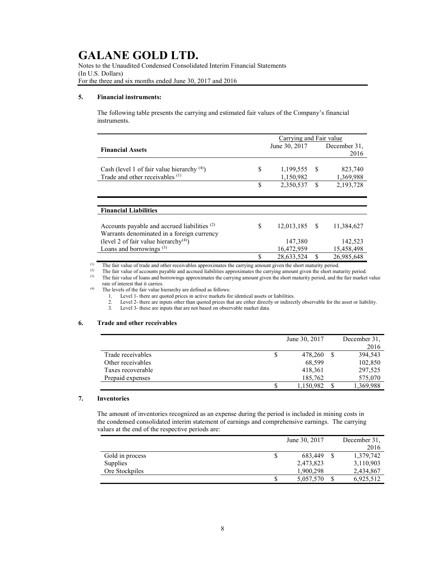Notes to the Unaudited Condensed Consolidated Interim Financial Statements (In U.S. Dollars) For the three and six months ended June 30, 2017 and 2016

### 5. Financial instruments:

The following table presents the carrying and estimated fair values of the Company's financial instruments.

|                                                         |    | Carrying and Fair value |               |              |
|---------------------------------------------------------|----|-------------------------|---------------|--------------|
| <b>Financial Assets</b>                                 |    | June 30, 2017           |               | December 31, |
|                                                         |    |                         |               | 2016         |
|                                                         |    |                         |               |              |
| Cash (level 1 of fair value hierarchy $(4)$ )           | S  | 1,199,555               | -S            | 823,740      |
| Trade and other receivables (1)                         |    | 1,150,982               |               | 1,369,988    |
|                                                         | \$ | 2,350,537               | <sup>\$</sup> | 2,193,728    |
|                                                         |    |                         |               |              |
|                                                         |    |                         |               |              |
| <b>Financial Liabilities</b>                            |    |                         |               |              |
|                                                         |    |                         |               |              |
| Accounts payable and accrued liabilities <sup>(2)</sup> | S  | 12,013,185              | - \$          | 11,384,627   |
| Warrants denominated in a foreign currency              |    |                         |               |              |
| (level 2 of fair value hierarchy <sup>(4)</sup> )       |    | 147,380                 |               | 142,523      |
| Loans and borrowings <sup>(3)</sup>                     |    | 16,472,959              |               | 15,458,498   |
|                                                         |    | 28,633,524              |               | 26,985,648   |

(1) The fair value of trade and other receivables approximates the carrying amount given the short maturity period.<br>(2) The fair value of accounts payable and accrued liabilities approximates the carrying amount given the

(2) The fair value of accounts payable and accrued liabilities approximates the carrying amount given the short maturity period.<br>(3) The fair value of loans and borrowings approximates the carrying amount given the short

The fair value of loans and borrowings approximates the carrying amount given the short maturity period, and the fair market value

rate of interest that it carries.

(4) The levels of the fair value hierarchy are defined as follows:

1. Level 1- there are quoted prices in active markets for identical assets or liabilities.

2. Level 2- there are inputs other than quoted prices that are either directly or indirectly observable for the asset or liability.<br>3. Level 3- these are inputs that are not based on observable market data.

Level 3- these are inputs that are not based on observable market data.

### 6. Trade and other receivables

|                   |   | June 30, 2017 | December 31, |
|-------------------|---|---------------|--------------|
|                   |   |               | 2016         |
| Trade receivables | S | 478,260       | 394,543      |
| Other receivables |   | 68,599        | 102,850      |
| Taxes recoverable |   | 418,361       | 297,525      |
| Prepaid expenses  |   | 185,762       | 575,070      |
|                   | S | 1,150,982     | 1,369,988    |

#### 7. Inventories

The amount of inventories recognized as an expense during the period is included in mining costs in the condensed consolidated interim statement of earnings and comprehensive earnings. The carrying values at the end of the respective periods are:

|                 |    | June 30, 2017 | December 31, |
|-----------------|----|---------------|--------------|
|                 |    |               | 2016         |
| Gold in process | \$ | 683,449       | 1,379,742    |
| <b>Supplies</b> |    | 2,473,823     | 3,110,903    |
| Ore Stockpiles  |    | 1,900,298     | 2,434,867    |
|                 | S  | 5,057,570     | 6,925,512    |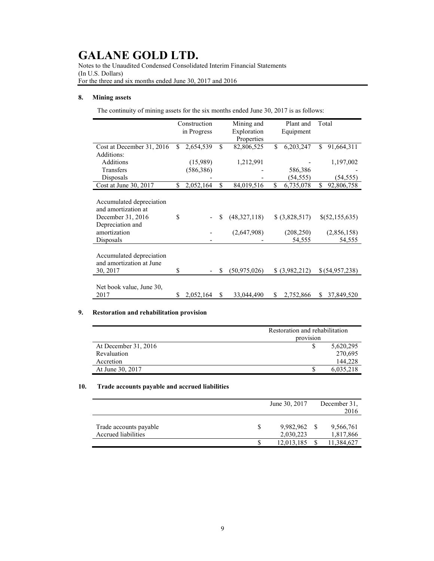Notes to the Unaudited Condensed Consolidated Interim Financial Statements (In U.S. Dollars) For the three and six months ended June 30, 2017 and 2016

### 8. Mining assets

The continuity of mining assets for the six months ended June 30, 2017 is as follows:

|                                                                                                                       |     | Construction<br>in Progress |    | Mining and<br>Exploration<br>Properties | Plant and<br>Equipment                 | Total                                   |
|-----------------------------------------------------------------------------------------------------------------------|-----|-----------------------------|----|-----------------------------------------|----------------------------------------|-----------------------------------------|
| Cost at December 31, 2016<br>Additions:                                                                               | \$. | 2,654,539                   | \$ | 82,806,525                              | \$<br>6,203,247                        | \$<br>91,664,311                        |
| Additions                                                                                                             |     | (15,989)                    |    | 1,212,991                               |                                        | 1,197,002                               |
| Transfers                                                                                                             |     | (586, 386)                  |    |                                         | 586,386                                |                                         |
| Disposals                                                                                                             |     |                             |    |                                         | (54, 555)                              | (54, 555)                               |
| Cost at June 30, 2017                                                                                                 | \$  | 2,052,164                   | \$ | 84,019,516                              | \$<br>6,735,078                        | \$<br>92,806,758                        |
| Accumulated depreciation<br>and amortization at<br>December 31, 2016<br>Depreciation and<br>amortization<br>Disposals | \$  |                             | S  | (48,327,118)<br>(2,647,908)             | \$ (3,828,517)<br>(208, 250)<br>54,555 | \$(52,155,635)<br>(2,856,158)<br>54,555 |
| Accumulated depreciation<br>and amortization at June<br>30, 2017                                                      | \$  |                             | \$ | (50, 975, 026)                          | \$ (3,982,212)                         | \$ (54,957,238)                         |
| Net book value, June 30,<br>2017                                                                                      | S   | 2,052,164                   | \$ | 33,044,490                              | \$<br>2,752,866                        | \$<br>37,849,520                        |

### 9. Restoration and rehabilitation provision

|                      | Restoration and rehabilitation |           |  |  |  |  |
|----------------------|--------------------------------|-----------|--|--|--|--|
|                      | provision                      |           |  |  |  |  |
| At December 31, 2016 |                                | 5,620,295 |  |  |  |  |
| Revaluation          |                                | 270,695   |  |  |  |  |
| Accretion            |                                | 144,228   |  |  |  |  |
| At June 30, 2017     |                                | 6,035,218 |  |  |  |  |

### 10. Trade accounts payable and accrued liabilities

|                        | June 30, 2017 | December 31, |
|------------------------|---------------|--------------|
|                        |               | 2016         |
|                        |               |              |
| Trade accounts payable | 9,982,962     | 9,566,761    |
| Accrued liabilities    | 2,030,223     | 1,817,866    |
|                        | 12,013,185    | 11,384,627   |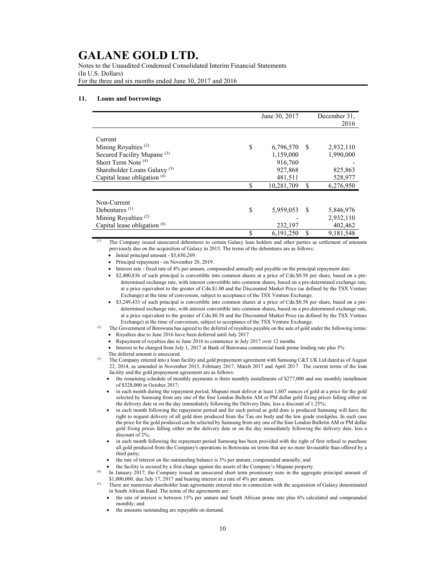Notes to the Unaudited Condensed Consolidated Interim Financial Statements (In U.S. Dollars) For the three and six months ended June 30, 2017 and 2016

#### 11. Loans and borrowings

|                                         | June 30, 2017 |    | December 31, |
|-----------------------------------------|---------------|----|--------------|
|                                         |               |    | 2016         |
|                                         |               |    |              |
| Current                                 |               |    |              |
| Mining Royalties <sup>(2)</sup><br>\$   | 6,796,570     | -S | 2,932,110    |
| Secured Facility Mupane <sup>(3)</sup>  | 1,159,000     |    | 1,990,000    |
| Short Term Note (4)                     | 916,760       |    |              |
| Shareholder Loans Galaxy <sup>(5)</sup> | 927,868       |    | 825,863      |
| Capital lease obligation <sup>(6)</sup> | 481,511       |    | 528,977      |
| \$                                      | 10,281,709    | \$ | 6,276,950    |
|                                         |               |    |              |
| Non-Current                             |               |    |              |
| Debentures $(1)$<br>\$                  | 5,959,053     | -S | 5,846,976    |
| Mining Royalties <sup>(2)</sup>         |               |    | 2,932,110    |
| Capital lease obligation $(6)$          | 232,197       |    | 402,462      |
| \$                                      | 6,191,250     | \$ | 9,181,548    |

(1) The Company issued unsecured debentures to certain Galaxy loan holders and other parties as settlement of amounts previously due on the acquisition of Galaxy in 2015. The terms of the debentures are as follows:

 $\bullet$  Initial principal amount - \$5,650,269.

Principal repayment - on November 20, 2019.

Interest rate - fixed rate of 4% per annum, compounded annually and payable on the principal repayment date.

- \$2,400,836 of such principal is convertible into common shares at a price of Cdn.\$0.58 per share, based on a predetermined exchange rate, with interest convertible into common shares, based on a pre-determined exchange rate, at a price equivalent to the greater of Cdn.\$1.00 and the Discounted Market Price (as defined by the TSX Venture Exchange) at the time of conversion, subject to acceptance of the TSX Venture Exchange.
- \$3,249,433 of such principal is convertible into common shares at a price of Cdn.\$0.58 per share, based on a predetermined exchange rate, with interest convertible into common shares, based on a pre-determined exchange rate, at a price equivalent to the greater of Cdn.\$0.58 and the Discounted Market Price (as defined by the TSX Venture Exchange) at the time of conversion, subject to acceptance of the TSX Venture Exchange.
- The Government of Botswana has agreed to the deferral of royalties payable on the sale of gold under the following terms:
	- Royalties due to June 2016 have been deferred until July 2017
	- Repayment of royalties due to June 2016 to commence in July 2017 over 12 months
	- Interest to be charged from July 1, 2017 at Bank of Botswana commercial bank prime lending rate plus 5% The deferral amount is unsecured.
	- The Company entered into a loan facility and gold prepayment agreement with Samsung C&T UK Ltd dated as of August 22, 2014, as amended in November 2015, February 2017, March 2017 and April 2017. The current terms of the loan facility and the gold prepayment agreement are as follows:
		- the remaining schedule of monthly payments is three monthly installments of \$277,000 and one monthly installment of \$328,000 in October 2017;
		- in each month during the repayment period, Mupane must deliver at least 1,607 ounces of gold at a price for the gold selected by Samsung from any one of the four London Bulletin AM or PM dollar gold fixing prices falling either on the delivery date or on the day immediately following the Delivery Date, less a discount of 1.25%;
		- in each month following the repayment period and for such period as gold dore is produced Samsung will have the right to request delivery of all gold dore produced from the Tau ore body and the low grade stockpiles. In each case the price for the gold produced can be selected by Samsung from any one of the four London Bulletin AM or PM dollar gold fixing prices falling either on the delivery date or on the day immediately following the delivery date, less a discount of 2%;
		- in each month following the repayment period Samsung has been provided with the right of first refusal to purchase all gold produced from the Company's operations in Botswana on terms that are no more favourable than offered by a third party;
		- the rate of interest on the outstanding balance is 3% per annum, compounded annually; and

the facility is secured by a first charge against the assets of the Company's Mupane property.

- In January 2017, the Company issued an unsecured short term promissory note in the aggregate principal amount of \$1,000,000, due July 17,  $2017$  and bearing interest at a rate of 4% per annum.
- <sup>(5)</sup> There are numerous shareholder loan agreements entered into in connection with the acquisition of Galaxy denominated in South African Rand. The terms of the agreements are:
	- the rate of interest is between 15% per annum and South African prime rate plus 6% calculated and compounded monthly; and
	- the amounts outstanding are repayable on demand.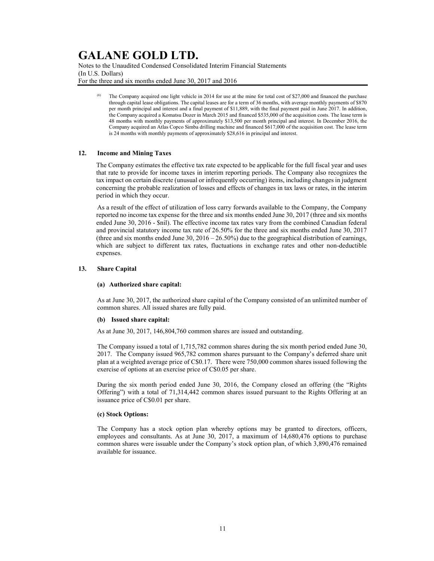Notes to the Unaudited Condensed Consolidated Interim Financial Statements (In U.S. Dollars) For the three and six months ended June 30, 2017 and 2016

> The Company acquired one light vehicle in 2014 for use at the mine for total cost of \$27,000 and financed the purchase through capital lease obligations. The capital leases are for a term of 36 months, with average monthly payments of \$870 per month principal and interest and a final payment of \$11,889, with the final payment paid in June 2017. In addition, the Company acquired a Komatsu Dozer in March 2015 and financed \$535,000 of the acquisition costs. The lease term is 48 months with monthly payments of approximately \$13,500 per month principal and interest. In December 2016, the Company acquired an Atlas Copco Simba drilling machine and financed \$617,000 of the acquisition cost. The lease term is 24 months with monthly payments of approximately \$28,616 in principal and interest.

#### 12. Income and Mining Taxes

The Company estimates the effective tax rate expected to be applicable for the full fiscal year and uses that rate to provide for income taxes in interim reporting periods. The Company also recognizes the tax impact on certain discrete (unusual or infrequently occurring) items, including changes in judgment concerning the probable realization of losses and effects of changes in tax laws or rates, in the interim period in which they occur.

As a result of the effect of utilization of loss carry forwards available to the Company, the Company reported no income tax expense for the three and six months ended June 30, 2017 (three and six months ended June 30, 2016 - \$nil). The effective income tax rates vary from the combined Canadian federal and provincial statutory income tax rate of 26.50% for the three and six months ended June 30, 2017 (three and six months ended June 30,  $2016 - 26.50\%$ ) due to the geographical distribution of earnings, which are subject to different tax rates, fluctuations in exchange rates and other non-deductible expenses.

### 13. Share Capital

#### (a) Authorized share capital:

As at June 30, 2017, the authorized share capital of the Company consisted of an unlimited number of common shares. All issued shares are fully paid.

#### (b) Issued share capital:

As at June 30, 2017, 146,804,760 common shares are issued and outstanding.

The Company issued a total of 1,715,782 common shares during the six month period ended June 30, 2017. The Company issued 965,782 common shares pursuant to the Company's deferred share unit plan at a weighted average price of C\$0.17. There were 750,000 common shares issued following the exercise of options at an exercise price of C\$0.05 per share.

During the six month period ended June 30, 2016, the Company closed an offering (the "Rights Offering") with a total of 71,314,442 common shares issued pursuant to the Rights Offering at an issuance price of C\$0.01 per share.

#### (c) Stock Options:

The Company has a stock option plan whereby options may be granted to directors, officers, employees and consultants. As at June 30, 2017, a maximum of 14,680,476 options to purchase common shares were issuable under the Company's stock option plan, of which 3,890,476 remained available for issuance.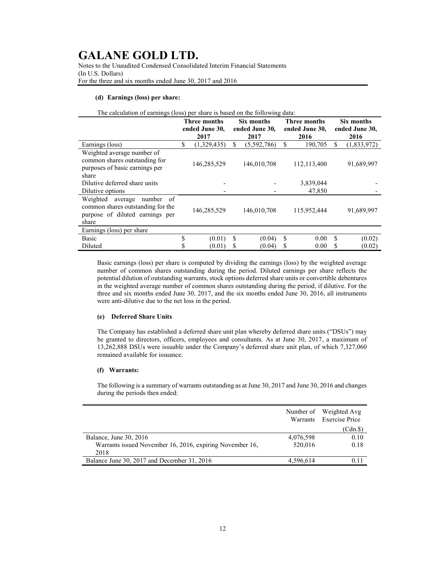Notes to the Unaudited Condensed Consolidated Interim Financial Statements (In U.S. Dollars) For the three and six months ended June 30, 2017 and 2016

### (d) Earnings (loss) per share:

| The calculation of earnings (loss) per share is based on the following data: |  |  |  |
|------------------------------------------------------------------------------|--|--|--|
|                                                                              |  |  |  |

|                                                                                                                       | <b>Three months</b><br>ended June 30, |             | Six months<br>ended June 30, |             | <b>Three months</b><br>ended June 30, |             | Six months<br>ended June 30, |             |
|-----------------------------------------------------------------------------------------------------------------------|---------------------------------------|-------------|------------------------------|-------------|---------------------------------------|-------------|------------------------------|-------------|
|                                                                                                                       |                                       | 2017        | 2017                         |             |                                       | 2016        |                              | 2016        |
| Earnings (loss)                                                                                                       | \$                                    | (1,329,435) | S                            | (5,592,786) | S                                     | 190,705     | \$                           | (1,833,972) |
| Weighted average number of<br>common shares outstanding for<br>purposes of basic earnings per<br>share                |                                       | 146,285,529 |                              | 146,010,708 |                                       | 112,113,400 |                              | 91,689,997  |
| Dilutive deferred share units                                                                                         |                                       |             |                              |             |                                       | 3,839,044   |                              |             |
| Dilutive options                                                                                                      |                                       |             |                              |             |                                       | 47,850      |                              |             |
| Weighted<br>number<br>average<br>-of<br>common shares outstanding for the<br>purpose of diluted earnings per<br>share |                                       | 146,285,529 |                              | 146,010,708 |                                       | 115,952,444 |                              | 91,689,997  |
| Earnings (loss) per share                                                                                             |                                       |             |                              |             |                                       |             |                              |             |
| <b>Basic</b>                                                                                                          | \$                                    | (0.01)      | S                            | (0.04)      | S                                     | 0.00        | S                            | (0.02)      |
| Diluted                                                                                                               | \$                                    | [0.01]      | S                            | (0.04)      | ъ.                                    | 0.00        | S                            | (0.02)      |

Basic earnings (loss) per share is computed by dividing the earnings (loss) by the weighted average number of common shares outstanding during the period. Diluted earnings per share reflects the potential dilution of outstanding warrants, stock options deferred share units or convertible debentures in the weighted average number of common shares outstanding during the period, if dilutive. For the three and six months ended June 30, 2017, and the six months ended June 30, 2016, all instruments were anti-dilutive due to the net loss in the period.

#### (e) Deferred Share Units

The Company has established a deferred share unit plan whereby deferred share units ("DSUs") may be granted to directors, officers, employees and consultants. As at June 30, 2017, a maximum of 13,262,888 DSUs were issuable under the Company's deferred share unit plan, of which 7,327,060 remained available for issuance.

### (f) Warrants:

The following is a summary of warrants outstanding as at June 30, 2017 and June 30, 2016 and changes during the periods then ended:

|                                                          |           | Number of Weighted Avg<br>Warrants Exercise Price |
|----------------------------------------------------------|-----------|---------------------------------------------------|
|                                                          |           | (Cdn.\$)                                          |
| Balance, June 30, 2016                                   | 4,076,598 | 0.10                                              |
| Warrants issued November 16, 2016, expiring November 16, | 520,016   | 0.18                                              |
| 2018                                                     |           |                                                   |
| Balance June 30, 2017 and December 31, 2016              | 4,596,614 |                                                   |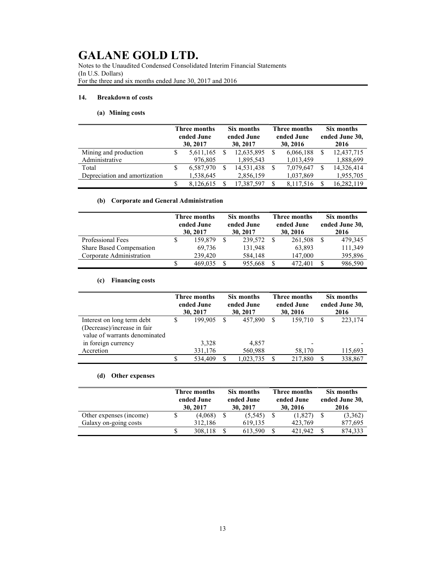Notes to the Unaudited Condensed Consolidated Interim Financial Statements (In U.S. Dollars) For the three and six months ended June 30, 2017 and 2016

### 14. Breakdown of costs

## (a) Mining costs

|                               | Three months<br>ended June<br>30, 2017 |           | Six months<br>ended June<br>30, 2017 |            | Three months<br>ended June<br>30, 2016 |           | Six months<br>ended June 30,<br>2016 |            |
|-------------------------------|----------------------------------------|-----------|--------------------------------------|------------|----------------------------------------|-----------|--------------------------------------|------------|
| Mining and production         |                                        | 5,611,165 |                                      | 12,635,895 |                                        | 6,066,188 |                                      | 12,437,715 |
| Administrative                |                                        | 976,805   |                                      | 1,895,543  |                                        | 1,013,459 |                                      | 1,888,699  |
| Total                         | S                                      | 6,587,970 | S                                    | 14,531,438 |                                        | 7,079,647 |                                      | 14,326,414 |
| Depreciation and amortization |                                        | 1,538,645 |                                      | 2,856,159  |                                        | 1,037,869 |                                      | 1,955,705  |
|                               |                                        | 8,126,615 |                                      | 17,387,597 |                                        | 8.117.516 |                                      | 16,282,119 |

## (b) Corporate and General Administration

|                          | Three months<br>ended June<br>30, 2017 |         | Six months<br>ended June<br>30, 2017 |         | Three months<br>ended June<br>30, 2016 |         | Six months<br>ended June 30,<br>2016 |         |
|--------------------------|----------------------------------------|---------|--------------------------------------|---------|----------------------------------------|---------|--------------------------------------|---------|
| Professional Fees        |                                        | 159.879 |                                      | 239,572 |                                        | 261,508 |                                      | 479,345 |
| Share Based Compensation |                                        | 69.736  |                                      | 131,948 |                                        | 63,893  |                                      | 111,349 |
| Corporate Administration |                                        | 239,420 |                                      | 584,148 |                                        | 147,000 |                                      | 395,896 |
|                          |                                        | 469.035 |                                      | 955,668 |                                        | 472,401 |                                      | 986,590 |

## (c) Financing costs

|                               | Three months<br>ended June<br>30, 2017 |         | Six months<br>ended June<br>30, 2017 |           | Three months<br>ended June<br>30, 2016 |                          | Six months<br>ended June 30,<br>2016 |
|-------------------------------|----------------------------------------|---------|--------------------------------------|-----------|----------------------------------------|--------------------------|--------------------------------------|
| Interest on long term debt    | S                                      | 199.905 | S                                    | 457,890   |                                        | 159,710                  | 223,174                              |
| (Decrease)/increase in fair   |                                        |         |                                      |           |                                        |                          |                                      |
| value of warrants denominated |                                        |         |                                      |           |                                        |                          |                                      |
| in foreign currency           |                                        | 3,328   |                                      | 4,857     |                                        | $\overline{\phantom{0}}$ |                                      |
| Accretion                     |                                        | 331,176 |                                      | 560,988   |                                        | 58,170                   | 115,693                              |
|                               |                                        | 534.409 | -S                                   | 1,023,735 |                                        | 217,880                  | 338,867                              |

### (d) Other expenses

|                         | Three months<br>ended June<br>30, 2017 |         | Six months<br>ended June<br>30, 2017 |          | Three months<br>ended June<br>30, 2016 |         | Six months<br>ended June 30,<br>2016 |         |
|-------------------------|----------------------------------------|---------|--------------------------------------|----------|----------------------------------------|---------|--------------------------------------|---------|
| Other expenses (income) |                                        | (4,068) |                                      | (5, 545) |                                        | (1,827) |                                      | (3,362) |
| Galaxy on-going costs   |                                        | 312,186 |                                      | 619.135  |                                        | 423,769 |                                      | 877,695 |
|                         |                                        | 308.118 |                                      | 613.590  |                                        | 421.942 |                                      | 874,333 |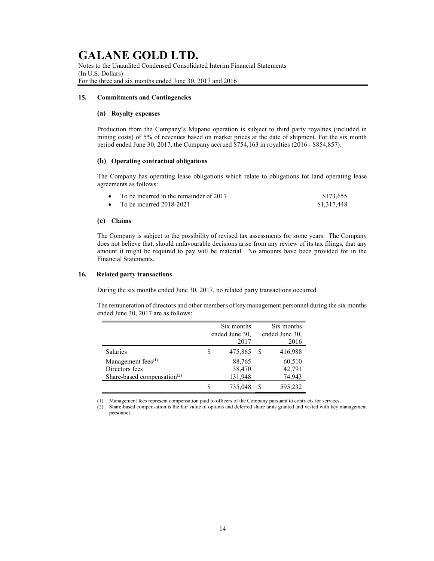Notes to the Unaudited Condensed Consolidated Interim Financial Statements (In U.S. Dollars) For the three and six months ended June 30, 2017 and 2016

### 15. Commitments and Contingencies

### (a) Royalty expenses

Production from the Company's Mupane operation is subject to third party royalties (included in mining costs) of 5% of revenues based on market prices at the date of shipment. For the six month period ended June 30, 2017, the Company accrued \$754,163 in royalties (2016 - \$854,857).

### (b) Operating contractual obligations

The Company has operating lease obligations which relate to obligations for land operating lease agreements as follows:

| • To be incurred in the remainder of $2017$ | \$173,655   |
|---------------------------------------------|-------------|
| • To be incurred $2018-2021$                | \$1,317,448 |

### (c) Claims

The Company is subject to the possibility of revised tax assessments for some years. The Company does not believe that, should unfavourable decisions arise from any review of its tax filings, that any amount it might be required to pay will be material. No amounts have been provided for in the Financial Statements.

### 16. Related party transactions

During the six months ended June 30, 2017, no related party transactions occurred.

The remuneration of directors and other members of key management personnel during the six months ended June 30, 2017 are as follows:

|                                         |   | Six months     |                | Six months |  |
|-----------------------------------------|---|----------------|----------------|------------|--|
|                                         |   | ended June 30, | ended June 30, |            |  |
|                                         |   | 2017           |                | 2016       |  |
| <b>Salaries</b>                         | S | 475,865        |                | 416,988    |  |
| Management fees <sup>(1)</sup>          |   | 88,765         |                | 60,510     |  |
| Directors fees                          |   | 38,470         |                | 42,791     |  |
| Share-based compensation <sup>(2)</sup> |   | 131,948        |                | 74,943     |  |
|                                         | S | 735,048        | S              | 595,232    |  |

(1) Management fees represent compensation paid to officers of the Company pursuant to contracts for services.

(2) Share-based compensation is the fair value of options and deferred share units granted and vested with key management personnel.